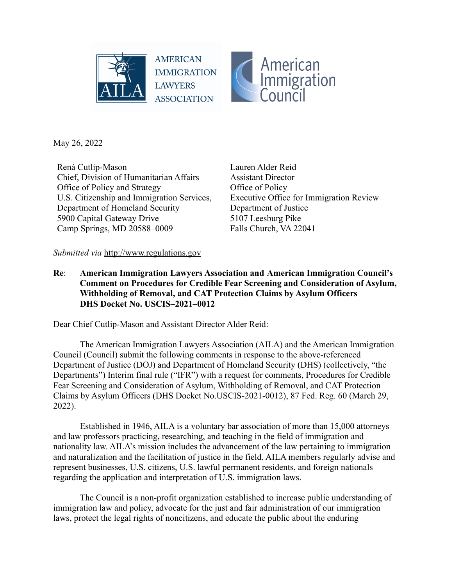



May 26, 2022

Rená Cutlip-Mason Chief, Division of Humanitarian Affairs Office of Policy and Strategy U.S. Citizenship and Immigration Services, Department of Homeland Security 5900 Capital Gateway Drive Camp Springs, MD 20588–0009

Lauren Alder Reid Assistant Director Office of Policy Executive Office for Immigration Review Department of Justice 5107 Leesburg Pike Falls Church, VA 22041

#### *Submitted via* http://www.regulations.gov

**Re**: **American Immigration Lawyers Association and American Immigration Council's Comment on Procedures for Credible Fear Screening and Consideration of Asylum, Withholding of Removal, and CAT Protection Claims by Asylum Officers DHS Docket No. USCIS–2021–0012**

Dear Chief Cutlip-Mason and Assistant Director Alder Reid:

The American Immigration Lawyers Association (AILA) and the American Immigration Council (Council) submit the following comments in response to the above-referenced Department of Justice (DOJ) and Department of Homeland Security (DHS) (collectively, "the Departments") Interim final rule ("IFR") with a request for comments, Procedures for Credible Fear Screening and Consideration of Asylum, Withholding of Removal, and CAT Protection Claims by Asylum Officers (DHS Docket No.USCIS-2021-0012), 87 Fed. Reg. 60 (March 29, 2022).

Established in 1946, AILA is a voluntary bar association of more than 15,000 attorneys and law professors practicing, researching, and teaching in the field of immigration and nationality law. AILA's mission includes the advancement of the law pertaining to immigration and naturalization and the facilitation of justice in the field. AILA members regularly advise and represent businesses, U.S. citizens, U.S. lawful permanent residents, and foreign nationals regarding the application and interpretation of U.S. immigration laws.

The Council is a non-profit organization established to increase public understanding of immigration law and policy, advocate for the just and fair administration of our immigration laws, protect the legal rights of noncitizens, and educate the public about the enduring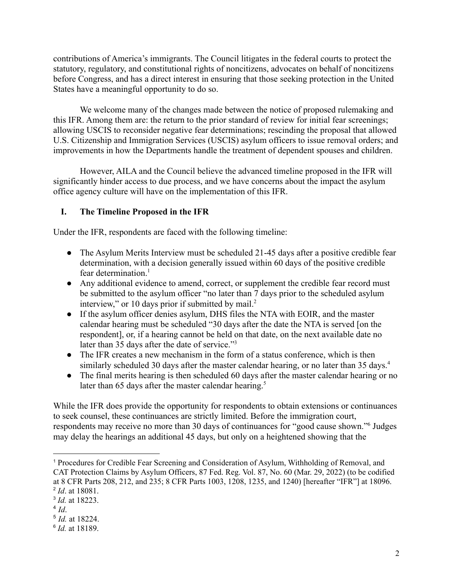contributions of America's immigrants. The Council litigates in the federal courts to protect the statutory, regulatory, and constitutional rights of noncitizens, advocates on behalf of noncitizens before Congress, and has a direct interest in ensuring that those seeking protection in the United States have a meaningful opportunity to do so.

We welcome many of the changes made between the notice of proposed rulemaking and this IFR. Among them are: the return to the prior standard of review for initial fear screenings; allowing USCIS to reconsider negative fear determinations; rescinding the proposal that allowed U.S. Citizenship and Immigration Services (USCIS) asylum officers to issue removal orders; and improvements in how the Departments handle the treatment of dependent spouses and children.

However, AILA and the Council believe the advanced timeline proposed in the IFR will significantly hinder access to due process, and we have concerns about the impact the asylum office agency culture will have on the implementation of this IFR.

### **I. The Timeline Proposed in the IFR**

Under the IFR, respondents are faced with the following timeline:

- The Asylum Merits Interview must be scheduled 21-45 days after a positive credible fear determination, with a decision generally issued within 60 days of the positive credible fear determination.<sup>1</sup>
- Any additional evidence to amend, correct, or supplement the credible fear record must be submitted to the asylum officer "no later than 7 days prior to the scheduled asylum interview," or 10 days prior if submitted by mail. $2$
- If the asylum officer denies asylum, DHS files the NTA with EOIR, and the master calendar hearing must be scheduled "30 days after the date the NTA is served [on the respondent], or, if a hearing cannot be held on that date, on the next available date no later than 35 days after the date of service."<sup>3</sup>
- The IFR creates a new mechanism in the form of a status conference, which is then similarly scheduled 30 days after the master calendar hearing, or no later than 35 days.<sup>4</sup>
- The final merits hearing is then scheduled 60 days after the master calendar hearing or no later than 65 days after the master calendar hearing.<sup>5</sup>

While the IFR does provide the opportunity for respondents to obtain extensions or continuances to seek counsel, these continuances are strictly limited. Before the immigration court, respondents may receive no more than 30 days of continuances for "good cause shown."<sup>6</sup> Judges may delay the hearings an additional 45 days, but only on a heightened showing that the

<sup>2</sup> *Id*. at 18081. <sup>1</sup> Procedures for Credible Fear Screening and Consideration of Asylum, Withholding of Removal, and CAT Protection Claims by Asylum Officers, 87 Fed. Reg. Vol. 87, No. 60 (Mar. 29, 2022) (to be codified at 8 CFR Parts 208, 212, and 235; 8 CFR Parts 1003, 1208, 1235, and 1240) [hereafter "IFR"] at 18096.

<sup>3</sup> *Id.* at 18223.

<sup>4</sup> *Id*.

<sup>5</sup> *Id.* at 18224.

<sup>6</sup> *Id.* at 18189.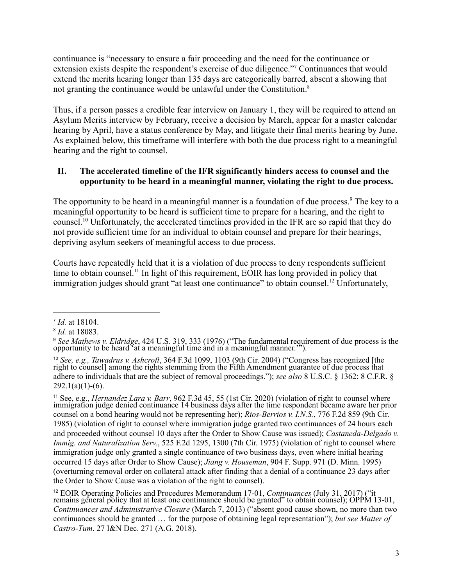continuance is "necessary to ensure a fair proceeding and the need for the continuance or extension exists despite the respondent's exercise of due diligence."<sup>7</sup> Continuances that would extend the merits hearing longer than 135 days are categorically barred, absent a showing that not granting the continuance would be unlawful under the Constitution.<sup>8</sup>

Thus, if a person passes a credible fear interview on January 1, they will be required to attend an Asylum Merits interview by February, receive a decision by March, appear for a master calendar hearing by April, have a status conference by May, and litigate their final merits hearing by June. As explained below, this timeframe will interfere with both the due process right to a meaningful hearing and the right to counsel.

### **II. The accelerated timeline of the IFR significantly hinders access to counsel and the opportunity to be heard in a meaningful manner, violating the right to due process.**

The opportunity to be heard in a meaningful manner is a foundation of due process.<sup>9</sup> The key to a meaningful opportunity to be heard is sufficient time to prepare for a hearing, and the right to counsel.<sup>10</sup> Unfortunately, the accelerated timelines provided in the IFR are so rapid that they do not provide sufficient time for an individual to obtain counsel and prepare for their hearings, depriving asylum seekers of meaningful access to due process.

Courts have repeatedly held that it is a violation of due process to deny respondents sufficient time to obtain counsel.<sup>11</sup> In light of this requirement, EOIR has long provided in policy that immigration judges should grant "at least one continuance" to obtain counsel.<sup>12</sup> Unfortunately,

<sup>7</sup> *Id.* at 18104.

<sup>8</sup> *Id.* at 18083.

<sup>9</sup> *See Mathews v. Eldridge*, 424 U.S. 319, 333 (1976) ("The fundamental requirement of due process is the opportunity to be heard at a meaningful time and in a meaningful manner.<sup> $\cdot$ </sup>).

<sup>10</sup> *See, e.g., Tawadrus v. Ashcroft*, 364 F.3d 1099, 1103 (9th Cir. 2004) ("Congress has recognized [the right to counsel] among the rights stemming from the Fifth Amendment guarantee of due process that adhere to individuals that are the subject of removal proceedings."); *see also* 8 U.S.C. § 1362; 8 C.F.R. §  $292.1(a)(1)-(6)$ .

<sup>11</sup> See, e.g., *Hernandez Lara v. Barr*, 962 F.3d 45, 55 (1st Cir. 2020) (violation of right to counsel where immigration judge denied continuance 14 business days after the time respondent became aware her prior counsel on a bond hearing would not be representing her); *Rios-Berrios v. I.N.S.*, 776 F.2d 859 (9th Cir. 1985) (violation of right to counsel where immigration judge granted two continuances of 24 hours each and proceeded without counsel 10 days after the Order to Show Cause was issued); *Castaneda-Delgado v. Immig. and Naturalization Serv.*, 525 F.2d 1295, 1300 (7th Cir. 1975) (violation of right to counsel where immigration judge only granted a single continuance of two business days, even where initial hearing occurred 15 days after Order to Show Cause); *Jiang v. Houseman*, 904 F. Supp. 971 (D. Minn. 1995) (overturning removal order on collateral attack after finding that a denial of a continuance 23 days after the Order to Show Cause was a violation of the right to counsel).

<sup>12</sup> EOIR Operating Policies and Procedures Memorandum 17-01, *Continuances* (July 31, 2017) ("it remains general policy that at least one continuance should be granted" to obtain counsel); OPPM 13-01, *Continuances and Administrative Closure* (March 7, 2013) ("absent good cause shown, no more than two continuances should be granted … for the purpose of obtaining legal representation"); *but see Matter of Castro-Tum*, 27 I&N Dec. 271 (A.G. 2018).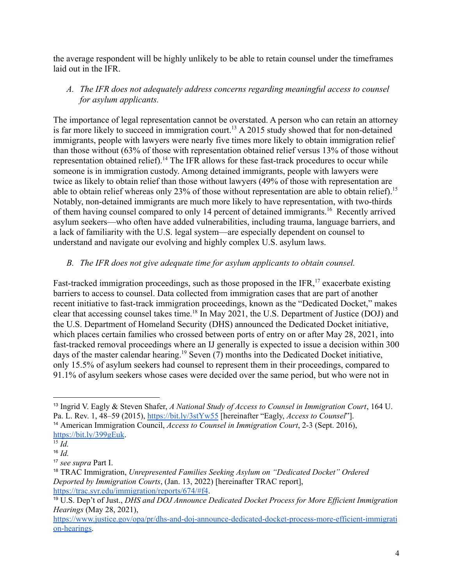the average respondent will be highly unlikely to be able to retain counsel under the timeframes laid out in the IFR.

### *A. The IFR does not adequately address concerns regarding meaningful access to counsel for asylum applicants.*

The importance of legal representation cannot be overstated. A person who can retain an attorney is far more likely to succeed in immigration court.<sup>13</sup> A 2015 study showed that for non-detained immigrants, people with lawyers were nearly five times more likely to obtain immigration relief than those without (63% of those with representation obtained relief versus 13% of those without representation obtained relief).<sup>14</sup> The IFR allows for these fast-track procedures to occur while someone is in immigration custody. Among detained immigrants, people with lawyers were twice as likely to obtain relief than those without lawyers (49% of those with representation are able to obtain relief whereas only 23% of those without representation are able to obtain relief).<sup>15</sup> Notably, non-detained immigrants are much more likely to have representation, with two-thirds of them having counsel compared to only 14 percent of detained immigrants.<sup>16</sup> Recently arrived asylum seekers—who often have added vulnerabilities, including trauma, language barriers, and a lack of familiarity with the U.S. legal system—are especially dependent on counsel to understand and navigate our evolving and highly complex U.S. asylum laws.

## *B. The IFR does not give adequate time for asylum applicants to obtain counsel.*

Fast-tracked immigration proceedings, such as those proposed in the IFR,<sup>17</sup> exacerbate existing barriers to access to counsel. Data collected from immigration cases that are part of another recent initiative to fast-track immigration proceedings, known as the "Dedicated Docket," makes clear that accessing counsel takes time.<sup>18</sup> In May 2021, the U.S. Department of Justice (DOJ) and the U.S. Department of Homeland Security (DHS) announced the Dedicated Docket initiative, which places certain families who crossed between ports of entry on or after May 28, 2021, into fast-tracked removal proceedings where an IJ generally is expected to issue a decision within 300 days of the master calendar hearing.<sup>19</sup> Seven  $(7)$  months into the Dedicated Docket initiative, only 15.5% of asylum seekers had counsel to represent them in their proceedings, compared to 91.1% of asylum seekers whose cases were decided over the same period, but who were not in

<sup>14</sup> American Immigration Council, *Access to Counsel in Immigration Court*, 2-3 (Sept. 2016), <https://bit.ly/399gEuk>. <sup>13</sup> Ingrid V. Eagly & Steven Shafer, *A National Study of Access to Counsel in Immigration Court*, 164 U. Pa. L. Rev. 1, 48–59 (2015), <https://bit.ly/3stYw55> [hereinafter "Eagly, *Access to Counsel*"].

<sup>15</sup> *Id.*

<sup>16</sup> *Id.*

<sup>17</sup> *see supra* Part I.

<sup>18</sup> TRAC Immigration, *Unrepresented Families Seeking Asylum on "Dedicated Docket" Ordered Deported by Immigration Courts*, (Jan. 13, 2022) [hereinafter TRAC report], <https://trac.syr.edu/immigration/reports/674/#f4>.

<sup>19</sup> U.S. Dep't of Just., *DHS and DOJ Announce Dedicated Docket Process for More Ef icient Immigration Hearings* (May 28, 2021),

[https://www.justice.gov/opa/pr/dhs-and-doj-announce-dedicated-docket-process-more-efficient-immigrati](https://www.justice.gov/opa/pr/dhs-and-doj-announce-dedicated-docket-process-more-efficient-immigration-hearings) [on-hearings.](https://www.justice.gov/opa/pr/dhs-and-doj-announce-dedicated-docket-process-more-efficient-immigration-hearings)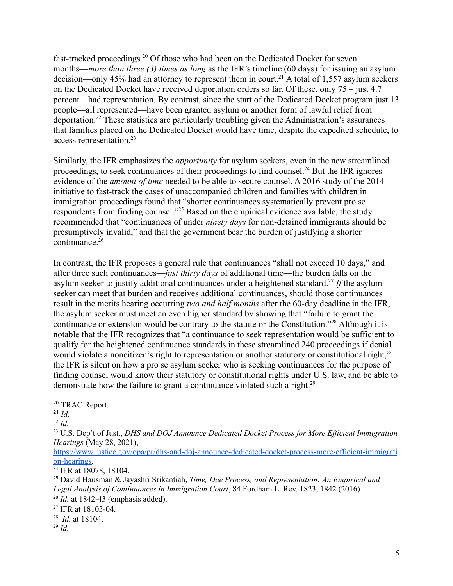fast-tracked proceedings.<sup>20</sup> Of those who had been on the Dedicated Docket for seven months—*more than three (3) times as long* as the IFR's timeline (60 days) for issuing an asylum decision—only 45% had an attorney to represent them in court.<sup>21</sup> A total of 1,557 asylum seekers on the Dedicated Docket have received deportation orders so far. Of these, only 75 – just 4.7 percent – had representation. By contrast, since the start of the Dedicated Docket program just 13 people—all represented—have been granted asylum or another form of lawful relief from deportation.<sup>22</sup> These statistics are particularly troubling given the Administration's assurances that families placed on the Dedicated Docket would have time, despite the expedited schedule, to access representation.<sup>23</sup>

Similarly, the IFR emphasizes the *opportunity* for asylum seekers, even in the new streamlined proceedings, to seek continuances of their proceedings to find counsel.<sup>24</sup> But the IFR ignores evidence of the *amount of time* needed to be able to secure counsel. A 2016 study of the 2014 initiative to fast-track the cases of unaccompanied children and families with children in immigration proceedings found that "shorter continuances systematically prevent pro se respondents from finding counsel."<sup>25</sup> Based on the empirical evidence available, the study recommended that "continuances of under *ninety days* for non-detained immigrants should be presumptively invalid," and that the government bear the burden of justifying a shorter  $continuance<sup>26</sup>$ 

In contrast, the IFR proposes a general rule that continuances "shall not exceed 10 days," and after three such continuances—*just thirty days* of additional time—the burden falls on the asylum seeker to justify additional continuances under a heightened standard.<sup>27</sup> If the asylum seeker can meet that burden and receives additional continuances, should those continuances result in the merits hearing occurring *two and half months* after the 60-day deadline in the IFR, the asylum seeker must meet an even higher standard by showing that "failure to grant the continuance or extension would be contrary to the statute or the Constitution."<sup>28</sup> Although it is notable that the IFR recognizes that "a continuance to seek representation would be sufficient to qualify for the heightened continuance standards in these streamlined 240 proceedings if denial would violate a noncitizen's right to representation or another statutory or constitutional right," the IFR is silent on how a pro se asylum seeker who is seeking continuances for the purpose of finding counsel would know their statutory or constitutional rights under U.S. law, and be able to demonstrate how the failure to grant a continuance violated such a right.<sup>29</sup>

<sup>20</sup> TRAC Report.

<sup>21</sup> *Id.*

<sup>22</sup> *Id.*

<sup>23</sup> U.S. Dep't of Just., *DHS and DOJ Announce Dedicated Docket Process for More Ef icient Immigration Hearings* (May 28, 2021),

[https://www.justice.gov/opa/pr/dhs-and-doj-announce-dedicated-docket-process-more-efficient-immigrati](https://www.justice.gov/opa/pr/dhs-and-doj-announce-dedicated-docket-process-more-efficient-immigration-hearings) [on-hearings.](https://www.justice.gov/opa/pr/dhs-and-doj-announce-dedicated-docket-process-more-efficient-immigration-hearings)

<sup>24</sup> IFR at 18078, 18104.

<sup>26</sup> *Id.* at 1842-43 (emphasis added). <sup>25</sup> David Hausman & Jayashri Srikantiah, *Time, Due Process, and Representation: An Empirical and Legal Analysis of Continuances in Immigration Court*, 84 Fordham L. Rev. 1823, 1842 (2016).

<sup>&</sup>lt;sup>27</sup> IFR at 18103-04.

<sup>28</sup> *Id.* at 18104.

<sup>29</sup> *Id.*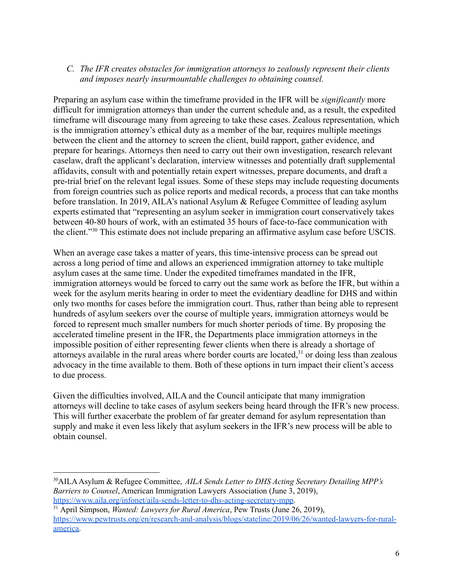### *C. The IFR creates obstacles for immigration attorneys to zealously represent their clients and imposes nearly insurmountable challenges to obtaining counsel.*

Preparing an asylum case within the timeframe provided in the IFR will be *significantly* more difficult for immigration attorneys than under the current schedule and, as a result, the expedited timeframe will discourage many from agreeing to take these cases. Zealous representation, which is the immigration attorney's ethical duty as a member of the bar, requires multiple meetings between the client and the attorney to screen the client, build rapport, gather evidence, and prepare for hearings. Attorneys then need to carry out their own investigation, research relevant caselaw, draft the applicant's declaration, interview witnesses and potentially draft supplemental affidavits, consult with and potentially retain expert witnesses, prepare documents, and draft a pre-trial brief on the relevant legal issues. Some of these steps may include requesting documents from foreign countries such as police reports and medical records, a process that can take months before translation. In 2019, AILA's national Asylum & Refugee Committee of leading asylum experts estimated that "representing an asylum seeker in immigration court conservatively takes between 40-80 hours of work, with an estimated 35 hours of face-to-face communication with the client."<sup>30</sup> This estimate does not include preparing an affirmative asylum case before USCIS.

When an average case takes a matter of years, this time-intensive process can be spread out across a long period of time and allows an experienced immigration attorney to take multiple asylum cases at the same time. Under the expedited timeframes mandated in the IFR, immigration attorneys would be forced to carry out the same work as before the IFR, but within a week for the asylum merits hearing in order to meet the evidentiary deadline for DHS and within only two months for cases before the immigration court. Thus, rather than being able to represent hundreds of asylum seekers over the course of multiple years, immigration attorneys would be forced to represent much smaller numbers for much shorter periods of time. By proposing the accelerated timeline present in the IFR, the Departments place immigration attorneys in the impossible position of either representing fewer clients when there is already a shortage of attorneys available in the rural areas where border courts are located,<sup>31</sup> or doing less than zealous advocacy in the time available to them. Both of these options in turn impact their client's access to due process.

Given the difficulties involved, AILA and the Council anticipate that many immigration attorneys will decline to take cases of asylum seekers being heard through the IFR's new process. This will further exacerbate the problem of far greater demand for asylum representation than supply and make it even less likely that asylum seekers in the IFR's new process will be able to obtain counsel.

<sup>30</sup>AILAAsylum & Refugee Committee, *AILA Sends Letter to DHS Acting Secretary Detailing MPP's Barriers to Counsel*, American Immigration Lawyers Association (June 3, 2019), [https://www.aila.org/infonet/aila-sends-letter-to-dhs-acting-secretary-mpp.](https://www.aila.org/infonet/aila-sends-letter-to-dhs-acting-secretary-mpp)

<sup>31</sup> April Simpson, *Wanted: Lawyers for Rural America*, Pew Trusts (June 26, 2019), [https://www.pewtrusts.org/en/research-and-analysis/blogs/stateline/2019/06/26/wanted-lawyers-for-rural](https://www.pewtrusts.org/en/research-and-analysis/blogs/stateline/2019/06/26/wanted-lawyers-for-rural-america)[america.](https://www.pewtrusts.org/en/research-and-analysis/blogs/stateline/2019/06/26/wanted-lawyers-for-rural-america)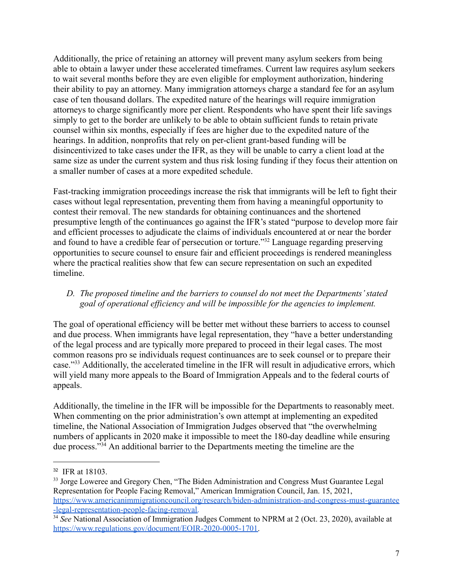Additionally, the price of retaining an attorney will prevent many asylum seekers from being able to obtain a lawyer under these accelerated timeframes. Current law requires asylum seekers to wait several months before they are even eligible for employment authorization, hindering their ability to pay an attorney. Many immigration attorneys charge a standard fee for an asylum case of ten thousand dollars. The expedited nature of the hearings will require immigration attorneys to charge significantly more per client. Respondents who have spent their life savings simply to get to the border are unlikely to be able to obtain sufficient funds to retain private counsel within six months, especially if fees are higher due to the expedited nature of the hearings. In addition, nonprofits that rely on per-client grant-based funding will be disincentivized to take cases under the IFR, as they will be unable to carry a client load at the same size as under the current system and thus risk losing funding if they focus their attention on a smaller number of cases at a more expedited schedule.

Fast-tracking immigration proceedings increase the risk that immigrants will be left to fight their cases without legal representation, preventing them from having a meaningful opportunity to contest their removal. The new standards for obtaining continuances and the shortened presumptive length of the continuances go against the IFR's stated "purpose to develop more fair and efficient processes to adjudicate the claims of individuals encountered at or near the border and found to have a credible fear of persecution or torture."<sup>32</sup> Language regarding preserving opportunities to secure counsel to ensure fair and efficient proceedings is rendered meaningless where the practical realities show that few can secure representation on such an expedited timeline.

### *D. The proposed timeline and the barriers to counsel do not meet the Departments' stated goal of operational efficiency and will be impossible for the agencies to implement.*

The goal of operational efficiency will be better met without these barriers to access to counsel and due process. When immigrants have legal representation, they "have a better understanding of the legal process and are typically more prepared to proceed in their legal cases. The most common reasons pro se individuals request continuances are to seek counsel or to prepare their case."<sup>33</sup> Additionally, the accelerated timeline in the IFR will result in adjudicative errors, which will yield many more appeals to the Board of Immigration Appeals and to the federal courts of appeals.

Additionally, the timeline in the IFR will be impossible for the Departments to reasonably meet. When commenting on the prior administration's own attempt at implementing an expedited timeline, the National Association of Immigration Judges observed that "the overwhelming numbers of applicants in 2020 make it impossible to meet the 180-day deadline while ensuring due process."<sup>34</sup> An additional barrier to the Departments meeting the timeline are the

<sup>32</sup> IFR at 18103.

<sup>&</sup>lt;sup>33</sup> Jorge Loweree and Gregory Chen, "The Biden Administration and Congress Must Guarantee Legal Representation for People Facing Removal," American Immigration Council, Jan. 15, 2021, [https://www.americanimmigrationcouncil.org/research/biden-administration-and-congress-must-guarantee](https://www.americanimmigrationcouncil.org/research/biden-administration-and-congress-must-guarantee-legal-representation-people-facing-removal) [-legal-representation-people-facing-removal.](https://www.americanimmigrationcouncil.org/research/biden-administration-and-congress-must-guarantee-legal-representation-people-facing-removal)

<sup>&</sup>lt;sup>34</sup> See National Association of Immigration Judges Comment to NPRM at 2 (Oct. 23, 2020), available at [https://www.regulations.gov/document/EOIR-2020-0005-1701.](https://www.regulations.gov/document/EOIR-2020-0005-1701)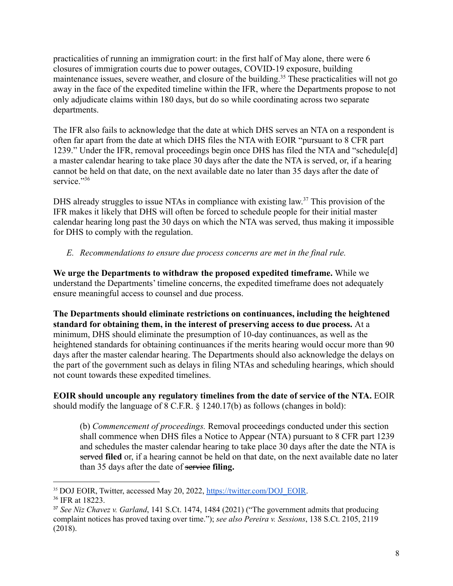practicalities of running an immigration court: in the first half of May alone, there were 6 closures of immigration courts due to power outages, COVID-19 exposure, building maintenance issues, severe weather, and closure of the building.<sup>35</sup> These practicalities will not go away in the face of the expedited timeline within the IFR, where the Departments propose to not only adjudicate claims within 180 days, but do so while coordinating across two separate departments.

The IFR also fails to acknowledge that the date at which DHS serves an NTA on a respondent is often far apart from the date at which DHS files the NTA with EOIR "pursuant to 8 CFR part 1239." Under the IFR, removal proceedings begin once DHS has filed the NTA and "schedule[d] a master calendar hearing to take place 30 days after the date the NTA is served, or, if a hearing cannot be held on that date, on the next available date no later than 35 days after the date of service."36

DHS already struggles to issue NTAs in compliance with existing law.<sup>37</sup> This provision of the IFR makes it likely that DHS will often be forced to schedule people for their initial master calendar hearing long past the 30 days on which the NTA was served, thus making it impossible for DHS to comply with the regulation.

### *E. Recommendations to ensure due process concerns are met in the final rule.*

**We urge the Departments to withdraw the proposed expedited timeframe.** While we understand the Departments' timeline concerns, the expedited timeframe does not adequately ensure meaningful access to counsel and due process.

**The Departments should eliminate restrictions on continuances, including the heightened standard for obtaining them, in the interest of preserving access to due process.** At a minimum, DHS should eliminate the presumption of 10-day continuances, as well as the heightened standards for obtaining continuances if the merits hearing would occur more than 90 days after the master calendar hearing. The Departments should also acknowledge the delays on the part of the government such as delays in filing NTAs and scheduling hearings, which should not count towards these expedited timelines.

**EOIR should uncouple any regulatory timelines from the date of service of the NTA.** EOIR should modify the language of 8 C.F.R. § 1240.17(b) as follows (changes in bold):

(b) *Commencement of proceedings.* Removal proceedings conducted under this section shall commence when DHS files a Notice to Appear (NTA) pursuant to 8 CFR part 1239 and schedules the master calendar hearing to take place 30 days after the date the NTA is served **filed** or, if a hearing cannot be held on that date, on the next available date no later than 35 days after the date of service **filing.**

<sup>35</sup> DOJ EOIR, Twitter, accessed May 20, 2022, [https://twitter.com/DOJ\\_EOIR.](https://twitter.com/DOJ_EOIR)

<sup>36</sup> IFR at 18223.

<sup>37</sup> *See Niz Chavez v. Garland*, 141 S.Ct. 1474, 1484 (2021) ("The government admits that producing complaint notices has proved taxing over time."); *see also Pereira v. Sessions*, 138 S.Ct. 2105, 2119 (2018).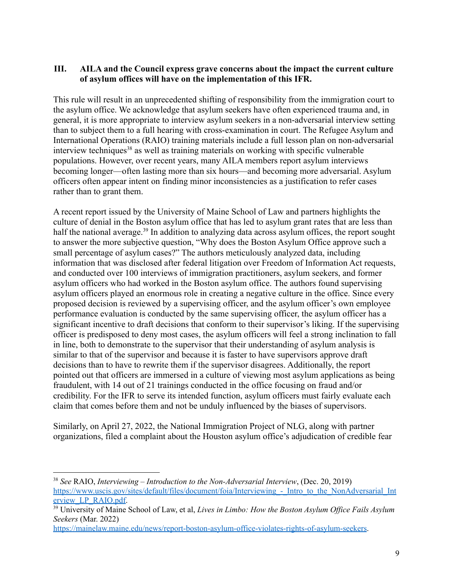### **III. AILA and the Council express grave concerns about the impact the current culture of asylum offices will have on the implementation of this IFR.**

This rule will result in an unprecedented shifting of responsibility from the immigration court to the asylum office. We acknowledge that asylum seekers have often experienced trauma and, in general, it is more appropriate to interview asylum seekers in a non-adversarial interview setting than to subject them to a full hearing with cross-examination in court. The Refugee Asylum and International Operations (RAIO) training materials include a full lesson plan on non-adversarial interview techniques<sup>38</sup> as well as training materials on working with specific vulnerable populations. However, over recent years, many AILA members report asylum interviews becoming longer—often lasting more than six hours—and becoming more adversarial. Asylum officers often appear intent on finding minor inconsistencies as a justification to refer cases rather than to grant them.

A recent report issued by the University of Maine School of Law and partners highlights the culture of denial in the Boston asylum office that has led to asylum grant rates that are less than half the national average.<sup>39</sup> In addition to analyzing data across asylum offices, the report sought to answer the more subjective question, "Why does the Boston Asylum Office approve such a small percentage of asylum cases?" The authors meticulously analyzed data, including information that was disclosed after federal litigation over Freedom of Information Act requests, and conducted over 100 interviews of immigration practitioners, asylum seekers, and former asylum officers who had worked in the Boston asylum office. The authors found supervising asylum officers played an enormous role in creating a negative culture in the office. Since every proposed decision is reviewed by a supervising officer, and the asylum officer's own employee performance evaluation is conducted by the same supervising officer, the asylum officer has a significant incentive to draft decisions that conform to their supervisor's liking. If the supervising officer is predisposed to deny most cases, the asylum officers will feel a strong inclination to fall in line, both to demonstrate to the supervisor that their understanding of asylum analysis is similar to that of the supervisor and because it is faster to have supervisors approve draft decisions than to have to rewrite them if the supervisor disagrees. Additionally, the report pointed out that officers are immersed in a culture of viewing most asylum applications as being fraudulent, with 14 out of 21 trainings conducted in the office focusing on fraud and/or credibility. For the IFR to serve its intended function, asylum officers must fairly evaluate each claim that comes before them and not be unduly influenced by the biases of supervisors.

Similarly, on April 27, 2022, the National Immigration Project of NLG, along with partner organizations, filed a complaint about the Houston asylum office's adjudication of credible fear

<sup>38</sup> *See* RAIO, *Interviewing – Introduction to the Non-Adversarial Interview*, (Dec. 20, 2019) https://www.uscis.gov/sites/default/files/document/foia/Interviewing - Intro\_to\_the\_NonAdversarial\_Int [erview\\_LP\\_RAIO.pdf.](https://www.uscis.gov/sites/default/files/document/foia/Interviewing_-_Intro_to_the_NonAdversarial_Interview_LP_RAIO.pdf)

<sup>39</sup> University of Maine School of Law, et al, *Lives in Limbo: How the Boston Asylum Of ice Fails Asylum Seekers* (Mar. 2022)

[https://mainelaw.maine.edu/news/report-boston-asylum-office-violates-rights-of-asylum-seekers.](https://mainelaw.maine.edu/news/report-boston-asylum-office-violates-rights-of-asylum-seekers/)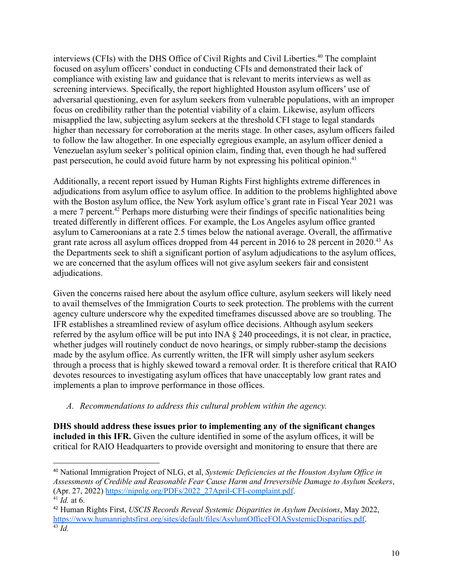interviews (CFIs) with the DHS Office of Civil Rights and Civil Liberties.<sup>40</sup> The complaint focused on asylum officers' conduct in conducting CFIs and demonstrated their lack of compliance with existing law and guidance that is relevant to merits interviews as well as screening interviews. Specifically, the report highlighted Houston asylum officers' use of adversarial questioning, even for asylum seekers from vulnerable populations, with an improper focus on credibility rather than the potential viability of a claim. Likewise, asylum officers misapplied the law, subjecting asylum seekers at the threshold CFI stage to legal standards higher than necessary for corroboration at the merits stage. In other cases, asylum officers failed to follow the law altogether. In one especially egregious example, an asylum officer denied a Venezuelan asylum seeker's political opinion claim, finding that, even though he had suffered past persecution, he could avoid future harm by not expressing his political opinion.<sup>41</sup>

Additionally, a recent report issued by Human Rights First highlights extreme differences in adjudications from asylum office to asylum office. In addition to the problems highlighted above with the Boston asylum office, the New York asylum office's grant rate in Fiscal Year 2021 was a mere 7 percent.<sup>42</sup> Perhaps more disturbing were their findings of specific nationalities being treated differently in different offices. For example, the Los Angeles asylum office granted asylum to Cameroonians at a rate 2.5 times below the national average. Overall, the affirmative grant rate across all asylum offices dropped from 44 percent in 2016 to 28 percent in 2020.<sup>43</sup> As the Departments seek to shift a significant portion of asylum adjudications to the asylum offices, we are concerned that the asylum offices will not give asylum seekers fair and consistent adjudications.

Given the concerns raised here about the asylum office culture, asylum seekers will likely need to avail themselves of the Immigration Courts to seek protection. The problems with the current agency culture underscore why the expedited timeframes discussed above are so troubling. The IFR establishes a streamlined review of asylum office decisions. Although asylum seekers referred by the asylum office will be put into INA § 240 proceedings, it is not clear, in practice, whether judges will routinely conduct de novo hearings, or simply rubber-stamp the decisions made by the asylum office. As currently written, the IFR will simply usher asylum seekers through a process that is highly skewed toward a removal order. It is therefore critical that RAIO devotes resources to investigating asylum offices that have unacceptably low grant rates and implements a plan to improve performance in those offices.

### *A. Recommendations to address this cultural problem within the agency.*

**DHS should address these issues prior to implementing any of the significant changes included in this IFR.** Given the culture identified in some of the asylum offices, it will be critical for RAIO Headquarters to provide oversight and monitoring to ensure that there are

<sup>41</sup> *Id.* at 6. <sup>40</sup> National Immigration Project of NLG, et al, *Systemic Deficiencies at the Houston Asylum Of ice in Assessments of Credible and Reasonable Fear Cause Harm and Irreversible Damage to Asylum Seekers*, (Apr. 27, 2022) [https://nipnlg.org/PDFs/2022\\_27April-CFI-complaint.pdf](https://nipnlg.org/PDFs/2022_27April-CFI-complaint.pdf).

<sup>43</sup> *Id.* <sup>42</sup> Human Rights First, *USCIS Records Reveal Systemic Disparities in Asylum Decisions*, May 2022, <https://www.humanrightsfirst.org/sites/default/files/AsylumOfficeFOIASystemicDisparities.pdf>.